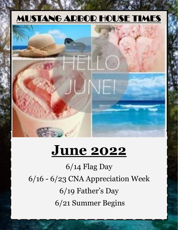## MUSTANG ARBOR HOUSE TIMES



## **June 2022**

6/14 Flag Day 6/16 - 6/23 CNA Appreciation Week 6/19 Father's Day 6/21 Summer Begins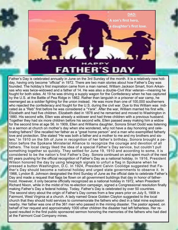

Father's Day is celebrated annually in June on the 3rd Sunday of the month. It is a relatively new holiday, having only become "official" in 1972. There are two main stories about how Father's Day was founded. The holiday's first inspiration came from a man named, William Jackson Smart, from Arkansas who was twice-widowed and a father of 14. He was also a double-Civil War veteran—meaning he fought for both sides. At 19 he was driving a supply wagon for the Confederacy when he has captured by the U.S. at the Battle of Pea Ridge in 1862. Rather than languish in a prisoner of war camp, he reemerged as a soldier fighting for the union instead. He was more than one of 100,000 southerners who rejected the confederacy and fought for the U.S. during the civil war. Due to this William was indicated as a "Reb" first before he was considered a "Yank". After the war, William married his first wife, Elizabeth and had five children. Elizabeth died in 1878 and he remarried and moved to Washington in 1880. His second wife, Ellen was already a widower and had three children with a previous husband. Together they had six more children before his second wife, Ellen passed away making him a widow for the second time at age 56. In 1909, Ellen and Williams daughter, Sonora Smart Dodd was listening to a sermon at church on mother's day when she wondered, why not have a day honoring and celebrating fathers? She recalled her father as a "great home person" and a man who exemplified fatherly love and protection. She stated "He was both a father and a mother to me and my brothers and sisters." In 1910 on the 5th of June in recognition of her father's birthday, Sonora brought a petition before the Spokane Ministerial Alliance to recognize the courage and devotion of all fathers. The local clergy liked the idea of a special Father's Day service, but couldn't pull something together so quickly. They settled for June 19, 1910 and according to some, it is considered to be the nation's first Father's Day. Sonora continued on and spent much of the next 60 years pushing for the official recognition of Father's Day as a national holiday. In 1916, President Wilson honored the day by using telegraph signals to unfurl a flag in Spokane when he pressed a button [Washington, D.C.](https://www.history.com/topics/us-states/washington-dc) In 1924, President Calvin Coolidge suggested that Father's Day should become a national holiday and urged state governments to observe it. In 1966, Lyndon B. Johnson designated the third Sunday of June as the official date to celebrate Father's Day and made a request that flags be flown on all government buildings that day in honor of fatherhood. However, it only became officially recognized as a national holiday in 1972, when President Richard Nixon, while in the midst of his re-election campaign, signed a Congressional resolution finally making Father's Day a federal holiday. Today, Father's Day is celebrated by over [50 countries.](https://en.wikipedia.org/wiki/Father%27s_Day) The second story about the origin of Father's Day comes from a few years prior on July 5, 1908 in Fairmont, West Virginia at a church. A lady named Grace Golden Clayton suggested to the local church that they should hold services to commemorate the fathers who died in a fatal mine explosion nearby. Her father was one of the 361 men who passed in the mining disaster. The pastor agreed, on behalf of her request and approximately 1000 other children the disaster had left fatherless. Her request resulted in the first public sponsored sermon honoring the memories of the fathers who had died at the Fairmont Coal Company mines.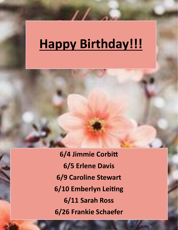# **Happy Birthday!!!**

**6/4 Jimmie Corbitt 6/5 Erlene Davis 6/9 Caroline Stewart 6/10 Emberlyn Leiting 6/11 Sarah Ross 6/26 Frankie Schaefer**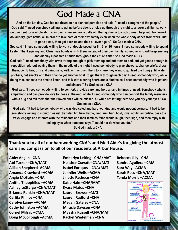### God Made a CNA

**And on the 8th day, God looked down on his planned paradise and said, "I need a caregiver of the people." God said, "I need somebody willing to get up before dawn, or stay up through the night to answer call lights, work on their feet for a whole shift, stay over when someone calls off, then go home to cook dinner, help with homework, do laundry, give baths, all in order to take care of their own family even when the whole body aches from work. Just to go to sleep, then get back up and do it all over again." So God made a CNA.** 

**God said " I need somebody willing to work at double speed for 8, 12, or 16 hours. I need somebody willing to spend Easter, Thanksgiving, and Christmas holidays with them instead of their own family, someone who will keep smiling and display a positive attitude throughout the entire shift." So God made a CNA.** 

**God said "I need somebody with arms strong enough to pick them up and put them to bed, but yet gentle enough to reposition without waking them in the middle of the night. I need somebody to give showers, change briefs, dress them, comb hair, trim and paint nails, walk with or push them to where they want to go, feed the hungry, fill water pitchers, get snacks and then change yet another brief to get them through each day. I need somebody who, while doing this, can take the time to listen, and talk with a caring heart, and a kind voice. I need somebody who is patient and sincere." So God made a CNA**

**God said, "I need somebody willing to comfort, provide care, and hold a hand in times of need. Somebody who is empathetic and can provide love to those at the end of life. I need somebody who can comfort the family members with a hug and tell them that their loved ones will be missed, all while not letting them see you dry your eyes." So God made a CNA.**

**God said, "It had to be somebody who was dedicated and hard-working and would not cut corners. It had to be somebody willing to monitor, assist, transfer, lift, turn, bathe, feed, run, hug, hold, love, notify, ambulate, pass the trays, engage and interact with the residents and their families. Who would laugh, then sigh, and then reply with smiling eyes when someone says "I could not do what you do."** 

**So God made a CNA.** 

**Thank you to all of our hardworking CNA's and Med Aide's for giving the utmost care and compassion to all of our residents at Arbor House.** 

**Abby Anglin –CNA Abi Tucker –CNA/MAT Allison Shepherd -ACMA Amanda Crawford –ACMA Angie McGuire –CNA Anitha Theophiles –ACMA Ashley LeStarge –CNA/MAT Brianna Rankin –CNA/MAT Carlita Philips –CNA Carolyn Laney –ACMA Cathy Johnston –ACMA Cornel Milsap –CMA Doug McCollough –ACMA**

**Emberlyn Leiting –CNA/MAT Heather Cravatt –CNA/MAT Isabel Enriquez –CNA/MAT Jennifer Wells –ACMA Jinette Pacheco –CNA Katie Hale –CNA/MAT Kyara Matos –CNA Lauren Brewer –MAT Lauren Radford –CNA Megan Gateley –CNA Miracle Dawson –CNA Myesha Russell –CNA/MAT Rachel Wietelman –CNA**

**Rebecca Lilly –CNA Sandra Aguilera –CMA Sara Way –ACMA Sarah Ross –CNA/MAT Tonda Morris –ACMA**

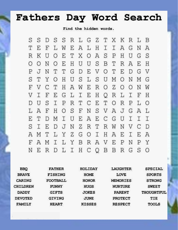### **Fathers Day Word Search**

Find the hidden words.

S S R L G Z T X K S S  $\mathcal{D}$ R  $\mathbb{L}$ B L E L H I T  $\mathbf F$ W Е  $\mathcal{A}$ I Α G N  $\overline{A}$ O A S P O E  $\mathbb T$  $R$ K U  $\boldsymbol{\mathsf{X}}$  $H$ U G S  $\circ$  $\circ$ N O E  $H$ U U S B T  $R$  $\overline{A}$ E H J N T T G E V O T Ε D Ρ D G V O H L S U M S  $\mathbb T$ Y U S  $\circ$ N M G  $\rm H$ F V  $\mathsf{C}$  $\mathbb T$  $\mathbb{A}$ W E R O<sub>Z</sub>  $\circ$  $\circ$  $\mathbf N$ W  $\mathbf F$ E G LI  $\mathop{}\mathcal{E}$  $H$ Q R L  $\mathbb{I}$  $\mathbf F$ V I H  $\mathsf{C}$  $T$ S  $\mathbb I$  $\, {\bf P}$ R T Ε O R L D U Ρ  $\circ$ NSVAJGA HOSF  $\mathbf F$ T.  $\mathcal{A}$  $\mathbb{L}$ I I  $\mathbb T$ U E  $A$  $\mathbf E$  $C$   $G$ I E  $\mathbb D$ М U T. I E  $D$ J N Z  $R$ T  $R$ W V S C Ν D T L Y Z G OIH I. A E Е A Μ A ILYBRAVE F A М Ρ N P Y D L I H C O S  $\mathbb R$ N Ε B B R G  $\circ$ 

| <b>BBQ</b>      | <b>FATHER</b>   | HOLIDAY       | <b>LAUGHTER</b> | <b>SPECIAL</b> |
|-----------------|-----------------|---------------|-----------------|----------------|
| <b>BRAVE</b>    | FISHING         | HOME          | <b>LOVE</b>     | <b>SPORTS</b>  |
| CARING          | <b>FOOTBALL</b> | <b>HONOR</b>  | <b>MEMORIES</b> | <b>STRONG</b>  |
| <b>CHILDREN</b> | <b>FUNNY</b>    | <b>HUGS</b>   | <b>NURTURE</b>  | <b>SWEET</b>   |
| <b>DADDY</b>    | <b>GIFTS</b>    | <b>JOKES</b>  | PARENT          | THOUGHTFUL     |
| <b>DEVOTED</b>  | <b>GIVING</b>   | <b>JUNE</b>   | <b>PROTECT</b>  | TIE            |
| FAMILY          | <b>HEART</b>    | <b>KISSES</b> | <b>RESPECT</b>  | <b>TOOLS</b>   |
|                 |                 |               |                 |                |